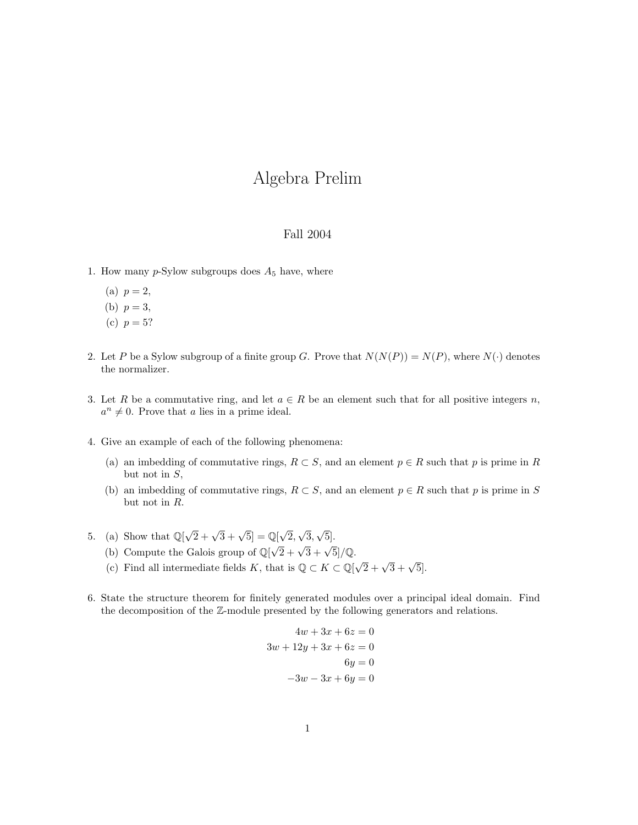## Algebra Prelim

## Fall 2004

- 1. How many  $p$ -Sylow subgroups does  $A_5$  have, where
	- (a)  $p = 2$ ,
	- (b)  $p = 3$ ,
	- (c)  $p = 5?$
- 2. Let P be a Sylow subgroup of a finite group G. Prove that  $N(N(P)) = N(P)$ , where  $N(\cdot)$  denotes the normalizer.
- 3. Let R be a commutative ring, and let  $a \in R$  be an element such that for all positive integers n,  $a^n \neq 0$ . Prove that a lies in a prime ideal.
- 4. Give an example of each of the following phenomena:
	- (a) an imbedding of commutative rings,  $R \subset S$ , and an element  $p \in R$  such that p is prime in R but not in  $S$ ,
	- (b) an imbedding of commutative rings,  $R \subset S$ , and an element  $p \in R$  such that p is prime in S but not in R.
- 5. (a) Show that  $\mathbb{Q}[\sqrt{2} + \sqrt{3} + \sqrt{5}] = \mathbb{Q}[\sqrt{3}]$ 2, √ 3, √ 5].
	- (b) Compute the Galois group of  $\mathbb{Q}[\sqrt{2} + \sqrt{3} + \sqrt{5}]/\mathbb{Q}$ .
	- (c) Find all intermediate fields K, that is  $\mathbb{Q} \subset K \subset \mathbb{Q}[\sqrt{2} + \sqrt{3} + \sqrt{5}]$ .
- 6. State the structure theorem for finitely generated modules over a principal ideal domain. Find the decomposition of the Z-module presented by the following generators and relations.

$$
4w + 3x + 6z = 0
$$

$$
3w + 12y + 3x + 6z = 0
$$

$$
6y = 0
$$

$$
-3w - 3x + 6y = 0
$$